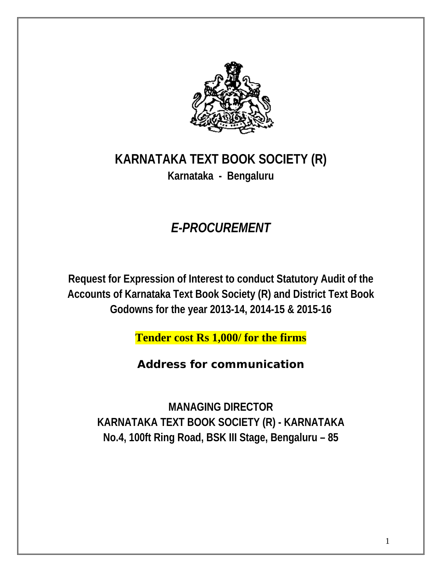

# **KARNATAKA TEXT BOOK SOCIETY (R) Karnataka - Bengaluru**

# *E-PROCUREMENT*

**Request for Expression of Interest to conduct Statutory Audit of the Accounts of Karnataka Text Book Society (R) and District Text Book Godowns for the year 2013-14, 2014-15 & 2015-16**

**Tender cost Rs 1,000/ for the firms**

*Address for communication* 

**MANAGING DIRECTOR KARNATAKA TEXT BOOK SOCIETY (R) - KARNATAKA No.4, 100ft Ring Road, BSK III Stage, Bengaluru – 85**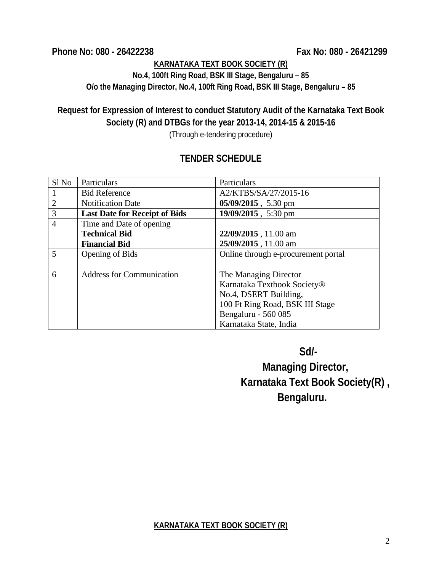**Phone No: 080 - 26422238 Fax No: 080 - 26421299**

## **KARNATAKA TEXT BOOK SOCIETY (R)**

**No.4, 100ft Ring Road, BSK III Stage, Bengaluru – 85 O/o the Managing Director, No.4, 100ft Ring Road, BSK III Stage, Bengaluru – 85**

## **Request for Expression of Interest to conduct Statutory Audit of the Karnataka Text Book Society (R) and DTBGs for the year 2013-14, 2014-15 & 2015-16**

(Through e-tendering procedure)

## **TENDER SCHEDULE**

| Sl No          | Particulars                          | Particulars                         |  |
|----------------|--------------------------------------|-------------------------------------|--|
| -1             | <b>Bid Reference</b>                 | A2/KTBS/SA/27/2015-16               |  |
| $\overline{2}$ | <b>Notification Date</b>             | 05/09/2015, 5.30 pm                 |  |
| 3              | <b>Last Date for Receipt of Bids</b> | 19/09/2015, 5:30 pm                 |  |
| $\overline{4}$ | Time and Date of opening             |                                     |  |
|                | <b>Technical Bid</b>                 | 22/09/2015, 11.00 am                |  |
|                | <b>Financial Bid</b>                 | 25/09/2015, 11.00 am                |  |
| 5              | Opening of Bids                      | Online through e-procurement portal |  |
|                |                                      |                                     |  |
| 6              | <b>Address for Communication</b>     | The Managing Director               |  |
|                |                                      | Karnataka Textbook Society®         |  |
|                |                                      | No.4, DSERT Building,               |  |
|                |                                      | 100 Ft Ring Road, BSK III Stage     |  |
|                |                                      | Bengaluru - 560 085                 |  |
|                |                                      | Karnataka State, India              |  |

 **Sd/-**

 **Managing Director, Karnataka Text Book Society(R) , Bengaluru.**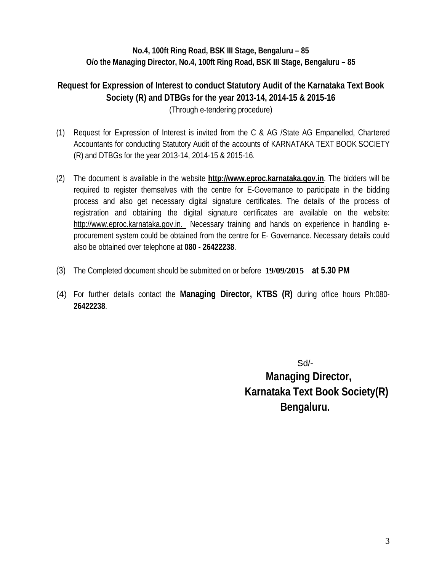## **No.4, 100ft Ring Road, BSK III Stage, Bengaluru – 85 O/o the Managing Director, No.4, 100ft Ring Road, BSK III Stage, Bengaluru – 85**

**Request for Expression of Interest to conduct Statutory Audit of the Karnataka Text Book Society (R) and DTBGs for the year 2013-14, 2014-15 & 2015-16** (Through e-tendering procedure)

- (1) Request for Expression of Interest is invited from the C & AG /State AG Empanelled, Chartered Accountants for conducting Statutory Audit of the accounts of KARNATAKA TEXT BOOK SOCIETY (R) and DTBGs for the year 2013-14, 2014-15 & 2015-16.
- (2) The document is available in the website **http://www.eproc.karnataka.gov.in**. The bidders will be required to register themselves with the centre for E-Governance to participate in the bidding process and also get necessary digital signature certificates. The details of the process of registration and obtaining the digital signature certificates are available on the website: http://www.eproc.karnataka.gov.in. Necessary training and hands on experience in handling eprocurement system could be obtained from the centre for E- Governance. Necessary details could also be obtained over telephone at **080 - 26422238**.
- (3) The Completed document should be submitted on or before **19/09/2015 at 5.30 PM**
- (4) For further details contact the **Managing Director, KTBS (R)** during office hours Ph:080- **26422238**.

 Sd/-  **Managing Director, Karnataka Text Book Society(R) Bengaluru.**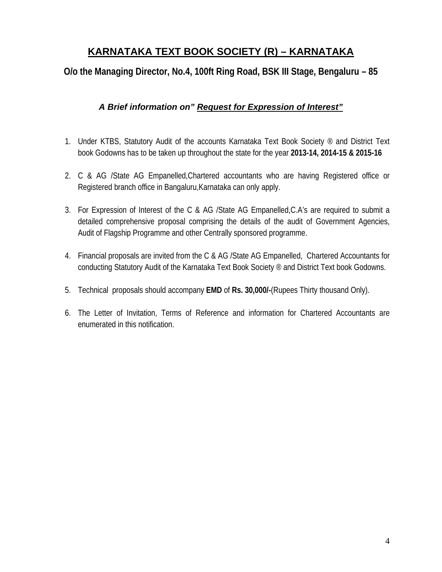## **KARNATAKA TEXT BOOK SOCIETY (R) – KARNATAKA**

**O/o the Managing Director, No.4, 100ft Ring Road, BSK III Stage, Bengaluru – 85**

## *A Brief information on" Request for Expression of Interest"*

- 1. Under KTBS, Statutory Audit of the accounts Karnataka Text Book Society <sup>®</sup> and District Text book Godowns has to be taken up throughout the state for the year **2013-14, 2014-15 & 2015-16**
- 2. C & AG /State AG Empanelled,Chartered accountants who are having Registered office or Registered branch office in Bangaluru,Karnataka can only apply.
- 3. For Expression of Interest of the C & AG /State AG Empanelled,C.A's are required to submit a detailed comprehensive proposal comprising the details of the audit of Government Agencies, Audit of Flagship Programme and other Centrally sponsored programme.
- 4. Financial proposals are invited from the C & AG /State AG Empanelled, Chartered Accountants for conducting Statutory Audit of the Karnataka Text Book Society ® and District Text book Godowns.
- 5. Technical proposals should accompany **EMD** of **Rs. 30,000/-**(Rupees Thirty thousand Only).
- 6. The Letter of Invitation, Terms of Reference and information for Chartered Accountants are enumerated in this notification.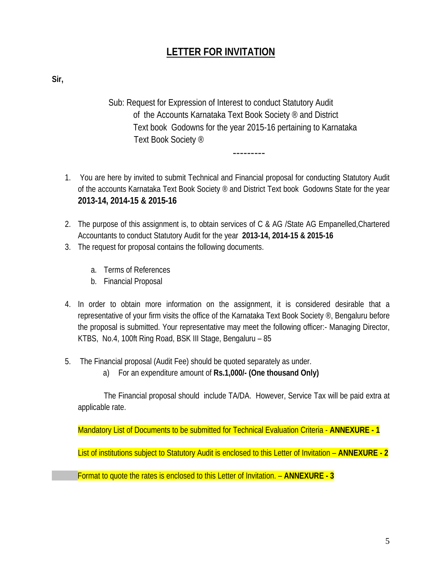## **LETTER FOR INVITATION**

**Sir,** 

Sub: Request for Expression of Interest to conduct Statutory Audit of the Accounts Karnataka Text Book Society ® and District Text book Godowns for the year 2015-16 pertaining to Karnataka Text Book Society ®

---------

- 1. You are here by invited to submit Technical and Financial proposal for conducting Statutory Audit of the accounts Karnataka Text Book Society ® and District Text book Godowns State for the year **2013-14, 2014-15 & 2015-16**
- 2. The purpose of this assignment is, to obtain services of C & AG /State AG Empanelled,Chartered Accountants to conduct Statutory Audit for the year **2013-14, 2014-15 & 2015-16**
- 3. The request for proposal contains the following documents.
	- a. Terms of References
	- b. Financial Proposal
- 4. In order to obtain more information on the assignment, it is considered desirable that a representative of your firm visits the office of the Karnataka Text Book Society ®, Bengaluru before the proposal is submitted. Your representative may meet the following officer:- Managing Director, KTBS, No.4, 100ft Ring Road, BSK III Stage, Bengaluru – 85
- 5. The Financial proposal (Audit Fee) should be quoted separately as under.
	- a) For an expenditure amount of **Rs.1,000/- (One thousand Only)**

The Financial proposal should include TA/DA. However, Service Tax will be paid extra at applicable rate.

Mandatory List of Documents to be submitted for Technical Evaluation Criteria - **ANNEXURE - 1**

List of institutions subject to Statutory Audit is enclosed to this Letter of Invitation – **ANNEXURE - 2**

Format to quote the rates is enclosed to this Letter of Invitation. – **ANNEXURE - 3**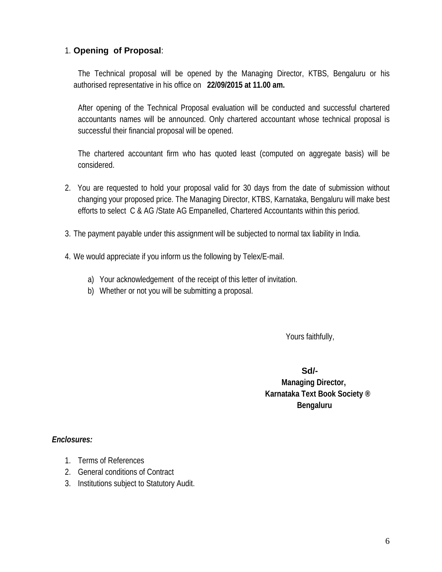## 1. **Opening of Proposal**:

The Technical proposal will be opened by the Managing Director, KTBS, Bengaluru or his authorised representative in his office on **22/09/2015 at 11.00 am.**

After opening of the Technical Proposal evaluation will be conducted and successful chartered accountants names will be announced. Only chartered accountant whose technical proposal is successful their financial proposal will be opened.

The chartered accountant firm who has quoted least (computed on aggregate basis) will be considered.

- 2. You are requested to hold your proposal valid for 30 days from the date of submission without changing your proposed price. The Managing Director, KTBS, Karnataka, Bengaluru will make best efforts to select C & AG /State AG Empanelled, Chartered Accountants within this period.
- 3. The payment payable under this assignment will be subjected to normal tax liability in India.
- 4. We would appreciate if you inform us the following by Telex/E-mail.
	- a) Your acknowledgement of the receipt of this letter of invitation.
	- b) Whether or not you will be submitting a proposal.

Yours faithfully,

 **Sd/-** 

 **Managing Director, Karnataka Text Book Society ® Bengaluru**

#### *Enclosures:*

- 1. Terms of References
- 2. General conditions of Contract
- 3. Institutions subject to Statutory Audit.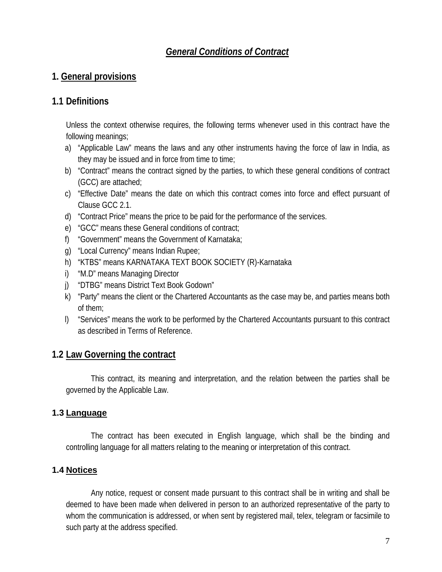## *General Conditions of Contract*

## **1. General provisions**

## **1.1 Definitions**

Unless the context otherwise requires, the following terms whenever used in this contract have the following meanings;

- a) "Applicable Law" means the laws and any other instruments having the force of law in India, as they may be issued and in force from time to time;
- b) "Contract" means the contract signed by the parties, to which these general conditions of contract (GCC) are attached;
- c) "Effective Date" means the date on which this contract comes into force and effect pursuant of Clause GCC 2.1.
- d) "Contract Price" means the price to be paid for the performance of the services.
- e) "GCC" means these General conditions of contract;
- f) "Government" means the Government of Karnataka;
- g) "Local Currency" means Indian Rupee;
- h) "KTBS" means KARNATAKA TEXT BOOK SOCIETY (R)-Karnataka
- i) "M.D" means Managing Director
- j) "DTBG" means District Text Book Godown"
- k) "Party" means the client or the Chartered Accountants as the case may be, and parties means both of them;
- l) "Services" means the work to be performed by the Chartered Accountants pursuant to this contract as described in Terms of Reference.

## **1.2 Law Governing the contract**

This contract, its meaning and interpretation, and the relation between the parties shall be governed by the Applicable Law.

## **1.3 Language**

The contract has been executed in English language, which shall be the binding and controlling language for all matters relating to the meaning or interpretation of this contract.

## **1.4 Notices**

Any notice, request or consent made pursuant to this contract shall be in writing and shall be deemed to have been made when delivered in person to an authorized representative of the party to whom the communication is addressed, or when sent by registered mail, telex, telegram or facsimile to such party at the address specified.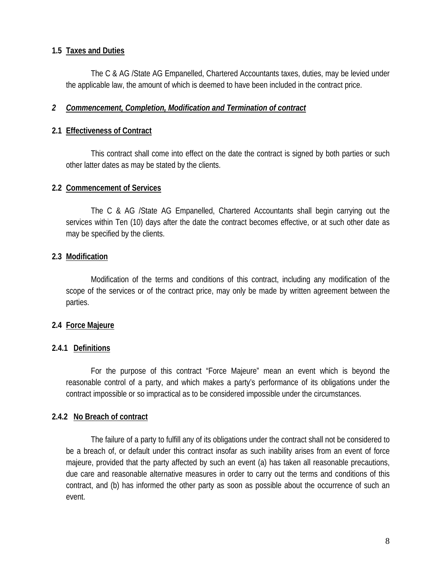#### **1.5 Taxes and Duties**

The C & AG /State AG Empanelled, Chartered Accountants taxes, duties, may be levied under the applicable law, the amount of which is deemed to have been included in the contract price.

#### *2 Commencement, Completion, Modification and Termination of contract*

#### **2.1 Effectiveness of Contract**

This contract shall come into effect on the date the contract is signed by both parties or such other latter dates as may be stated by the clients.

#### **2.2 Commencement of Services**

The C & AG /State AG Empanelled, Chartered Accountants shall begin carrying out the services within Ten (10) days after the date the contract becomes effective, or at such other date as may be specified by the clients.

#### **2.3 Modification**

Modification of the terms and conditions of this contract, including any modification of the scope of the services or of the contract price, may only be made by written agreement between the parties.

#### **2.4 Force Majeure**

#### **2.4.1 Definitions**

For the purpose of this contract "Force Majeure" mean an event which is beyond the reasonable control of a party, and which makes a party's performance of its obligations under the contract impossible or so impractical as to be considered impossible under the circumstances.

#### **2.4.2 No Breach of contract**

The failure of a party to fulfill any of its obligations under the contract shall not be considered to be a breach of, or default under this contract insofar as such inability arises from an event of force majeure, provided that the party affected by such an event (a) has taken all reasonable precautions, due care and reasonable alternative measures in order to carry out the terms and conditions of this contract, and (b) has informed the other party as soon as possible about the occurrence of such an event.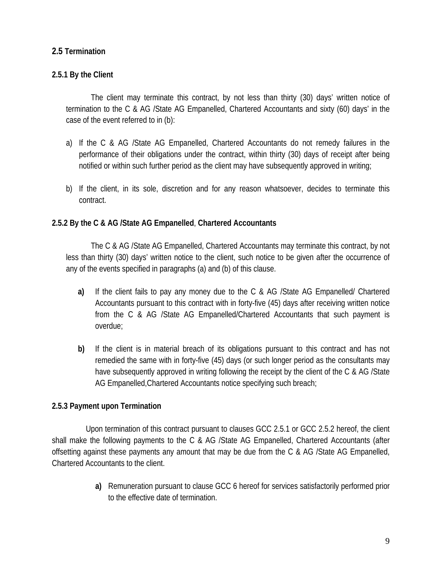### **2.5 Termination**

#### **2.5.1 By the Client**

The client may terminate this contract, by not less than thirty (30) days' written notice of termination to the C & AG /State AG Empanelled, Chartered Accountants and sixty (60) days' in the case of the event referred to in (b):

- a) If the C & AG /State AG Empanelled, Chartered Accountants do not remedy failures in the performance of their obligations under the contract, within thirty (30) days of receipt after being notified or within such further period as the client may have subsequently approved in writing;
- b) If the client, in its sole, discretion and for any reason whatsoever, decides to terminate this contract.

#### **2.5.2 By the C & AG /State AG Empanelled**, **Chartered Accountants**

The C & AG /State AG Empanelled, Chartered Accountants may terminate this contract, by not less than thirty (30) days' written notice to the client, such notice to be given after the occurrence of any of the events specified in paragraphs (a) and (b) of this clause.

- **a)** If the client fails to pay any money due to the C & AG /State AG Empanelled/ Chartered Accountants pursuant to this contract with in forty-five (45) days after receiving written notice from the C & AG /State AG Empanelled/Chartered Accountants that such payment is overdue;
- **b)** If the client is in material breach of its obligations pursuant to this contract and has not remedied the same with in forty-five (45) days (or such longer period as the consultants may have subsequently approved in writing following the receipt by the client of the C & AG /State AG Empanelled,Chartered Accountants notice specifying such breach;

#### **2.5.3 Payment upon Termination**

 Upon termination of this contract pursuant to clauses GCC 2.5.1 or GCC 2.5.2 hereof, the client shall make the following payments to the C & AG /State AG Empanelled, Chartered Accountants (after offsetting against these payments any amount that may be due from the C & AG /State AG Empanelled, Chartered Accountants to the client.

> **a)** Remuneration pursuant to clause GCC 6 hereof for services satisfactorily performed prior to the effective date of termination.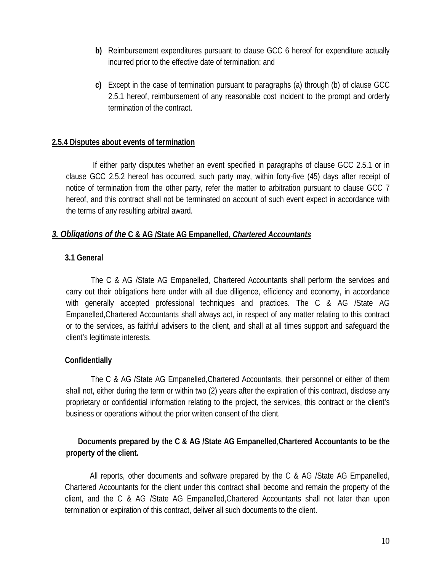- **b)** Reimbursement expenditures pursuant to clause GCC 6 hereof for expenditure actually incurred prior to the effective date of termination; and
- **c)** Except in the case of termination pursuant to paragraphs (a) through (b) of clause GCC 2.5.1 hereof, reimbursement of any reasonable cost incident to the prompt and orderly termination of the contract.

#### **2.5.4 Disputes about events of termination**

If either party disputes whether an event specified in paragraphs of clause GCC 2.5.1 or in clause GCC 2.5.2 hereof has occurred, such party may, within forty-five (45) days after receipt of notice of termination from the other party, refer the matter to arbitration pursuant to clause GCC 7 hereof, and this contract shall not be terminated on account of such event expect in accordance with the terms of any resulting arbitral award.

#### *3. Obligations of the* **C & AG /State AG Empanelled,** *Chartered Accountants*

#### **3.1 General**

The C & AG /State AG Empanelled, Chartered Accountants shall perform the services and carry out their obligations here under with all due diligence, efficiency and economy, in accordance with generally accepted professional techniques and practices. The C & AG /State AG Empanelled,Chartered Accountants shall always act, in respect of any matter relating to this contract or to the services, as faithful advisers to the client, and shall at all times support and safeguard the client's legitimate interests.

#### **Confidentially**

The C & AG /State AG Empanelled,Chartered Accountants, their personnel or either of them shall not, either during the term or within two (2) years after the expiration of this contract, disclose any proprietary or confidential information relating to the project, the services, this contract or the client's business or operations without the prior written consent of the client.

### **Documents prepared by the C & AG /State AG Empanelled**,**Chartered Accountants to be the property of the client.**

All reports, other documents and software prepared by the C & AG /State AG Empanelled, Chartered Accountants for the client under this contract shall become and remain the property of the client, and the C & AG /State AG Empanelled,Chartered Accountants shall not later than upon termination or expiration of this contract, deliver all such documents to the client.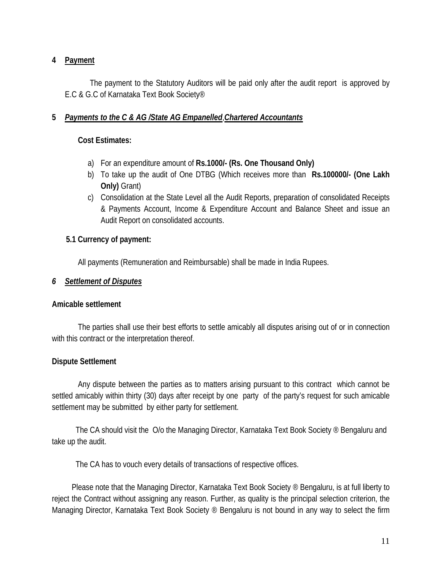#### **4 Payment**

The payment to the Statutory Auditors will be paid only after the audit report is approved by E.C & G.C of Karnataka Text Book Society®

#### **5** *Payments to the C & AG /State AG Empanelled*,*Chartered Accountants*

#### **Cost Estimates:**

- a) For an expenditure amount of **Rs.1000/- (Rs. One Thousand Only)**
- b) To take up the audit of One DTBG (Which receives more than **Rs.100000/- (One Lakh Only)** Grant)
- c) Consolidation at the State Level all the Audit Reports, preparation of consolidated Receipts & Payments Account, Income & Expenditure Account and Balance Sheet and issue an Audit Report on consolidated accounts.

#### **5.1 Currency of payment:**

All payments (Remuneration and Reimbursable) shall be made in India Rupees.

#### *6 Settlement of Disputes*

#### **Amicable settlement**

The parties shall use their best efforts to settle amicably all disputes arising out of or in connection with this contract or the interpretation thereof.

#### **Dispute Settlement**

Any dispute between the parties as to matters arising pursuant to this contract which cannot be settled amicably within thirty (30) days after receipt by one party of the party's request for such amicable settlement may be submitted by either party for settlement.

 The CA should visit the O/o the Managing Director, Karnataka Text Book Society ® Bengaluru and take up the audit.

The CA has to vouch every details of transactions of respective offices.

 Please note that the Managing Director, Karnataka Text Book Society ® Bengaluru, is at full liberty to reject the Contract without assigning any reason. Further, as quality is the principal selection criterion, the Managing Director, Karnataka Text Book Society ® Bengaluru is not bound in any way to select the firm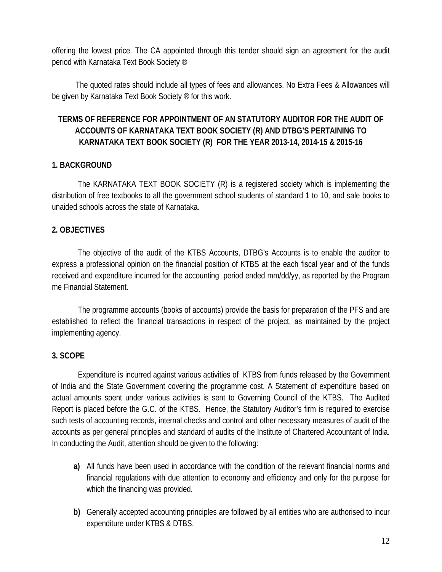offering the lowest price. The CA appointed through this tender should sign an agreement for the audit period with Karnataka Text Book Society ®

 The quoted rates should include all types of fees and allowances. No Extra Fees & Allowances will be given by Karnataka Text Book Society ® for this work.

## **TERMS OF REFERENCE FOR APPOINTMENT OF AN STATUTORY AUDITOR FOR THE AUDIT OF ACCOUNTS OF KARNATAKA TEXT BOOK SOCIETY (R) AND DTBG'S PERTAINING TO KARNATAKA TEXT BOOK SOCIETY (R) FOR THE YEAR 2013-14, 2014-15 & 2015-16**

#### **1. BACKGROUND**

The KARNATAKA TEXT BOOK SOCIETY (R) is a registered society which is implementing the distribution of free textbooks to all the government school students of standard 1 to 10, and sale books to unaided schools across the state of Karnataka.

### **2. OBJECTIVES**

The objective of the audit of the KTBS Accounts, DTBG's Accounts is to enable the auditor to express a professional opinion on the financial position of KTBS at the each fiscal year and of the funds received and expenditure incurred for the accounting period ended mm/dd/yy, as reported by the Program me Financial Statement.

The programme accounts (books of accounts) provide the basis for preparation of the PFS and are established to reflect the financial transactions in respect of the project, as maintained by the project implementing agency.

#### **3. SCOPE**

Expenditure is incurred against various activities of KTBS from funds released by the Government of India and the State Government covering the programme cost. A Statement of expenditure based on actual amounts spent under various activities is sent to Governing Council of the KTBS. The Audited Report is placed before the G.C. of the KTBS. Hence, the Statutory Auditor's firm is required to exercise such tests of accounting records, internal checks and control and other necessary measures of audit of the accounts as per general principles and standard of audits of the Institute of Chartered Accountant of India. In conducting the Audit, attention should be given to the following:

- **a)** All funds have been used in accordance with the condition of the relevant financial norms and financial regulations with due attention to economy and efficiency and only for the purpose for which the financing was provided.
- **b)** Generally accepted accounting principles are followed by all entities who are authorised to incur expenditure under KTBS & DTBS.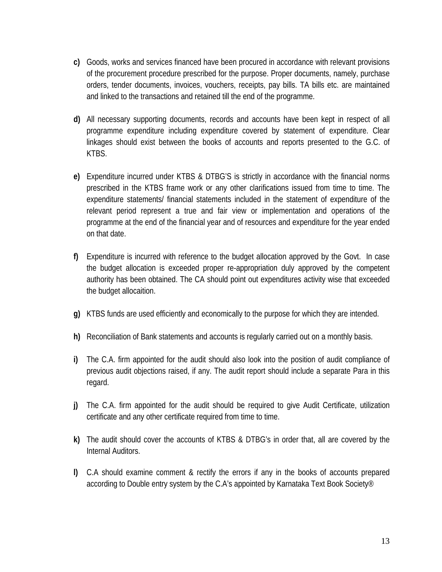- **c)** Goods, works and services financed have been procured in accordance with relevant provisions of the procurement procedure prescribed for the purpose. Proper documents, namely, purchase orders, tender documents, invoices, vouchers, receipts, pay bills. TA bills etc. are maintained and linked to the transactions and retained till the end of the programme.
- **d)** All necessary supporting documents, records and accounts have been kept in respect of all programme expenditure including expenditure covered by statement of expenditure. Clear linkages should exist between the books of accounts and reports presented to the G.C. of KTBS.
- **e)** Expenditure incurred under KTBS & DTBG'S is strictly in accordance with the financial norms prescribed in the KTBS frame work or any other clarifications issued from time to time. The expenditure statements/ financial statements included in the statement of expenditure of the relevant period represent a true and fair view or implementation and operations of the programme at the end of the financial year and of resources and expenditure for the year ended on that date.
- **f)** Expenditure is incurred with reference to the budget allocation approved by the Govt. In case the budget allocation is exceeded proper re-appropriation duly approved by the competent authority has been obtained. The CA should point out expenditures activity wise that exceeded the budget allocaition.
- **g)** KTBS funds are used efficiently and economically to the purpose for which they are intended.
- **h)** Reconciliation of Bank statements and accounts is regularly carried out on a monthly basis.
- **i)** The C.A. firm appointed for the audit should also look into the position of audit compliance of previous audit objections raised, if any. The audit report should include a separate Para in this regard.
- **j)** The C.A. firm appointed for the audit should be required to give Audit Certificate, utilization certificate and any other certificate required from time to time.
- **k)** The audit should cover the accounts of KTBS & DTBG's in order that, all are covered by the Internal Auditors.
- **l)** C.A should examine comment & rectify the errors if any in the books of accounts prepared according to Double entry system by the C.A's appointed by Karnataka Text Book Society®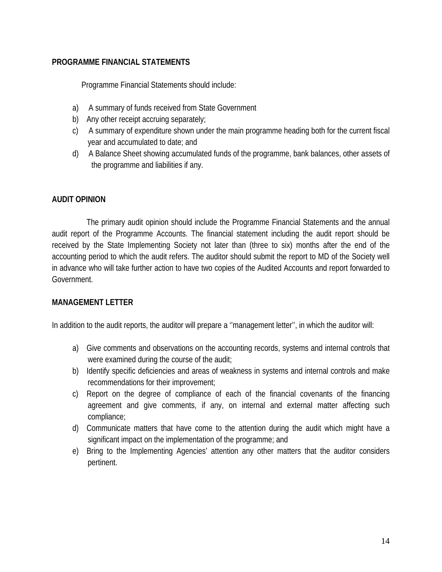#### **PROGRAMME FINANCIAL STATEMENTS**

Programme Financial Statements should include:

- a) A summary of funds received from State Government
- b) Any other receipt accruing separately;
- c) A summary of expenditure shown under the main programme heading both for the current fiscal year and accumulated to date; and
- d) A Balance Sheet showing accumulated funds of the programme, bank balances, other assets of the programme and liabilities if any.

#### **AUDIT OPINION**

The primary audit opinion should include the Programme Financial Statements and the annual audit report of the Programme Accounts. The financial statement including the audit report should be received by the State Implementing Society not later than (three to six) months after the end of the accounting period to which the audit refers. The auditor should submit the report to MD of the Society well in advance who will take further action to have two copies of the Audited Accounts and report forwarded to Government.

#### **MANAGEMENT LETTER**

In addition to the audit reports, the auditor will prepare a ''management letter'', in which the auditor will:

- a) Give comments and observations on the accounting records, systems and internal controls that were examined during the course of the audit;
- b) Identify specific deficiencies and areas of weakness in systems and internal controls and make recommendations for their improvement;
- c) Report on the degree of compliance of each of the financial covenants of the financing agreement and give comments, if any, on internal and external matter affecting such compliance;
- d) Communicate matters that have come to the attention during the audit which might have a significant impact on the implementation of the programme; and
- e) Bring to the Implementing Agencies' attention any other matters that the auditor considers pertinent.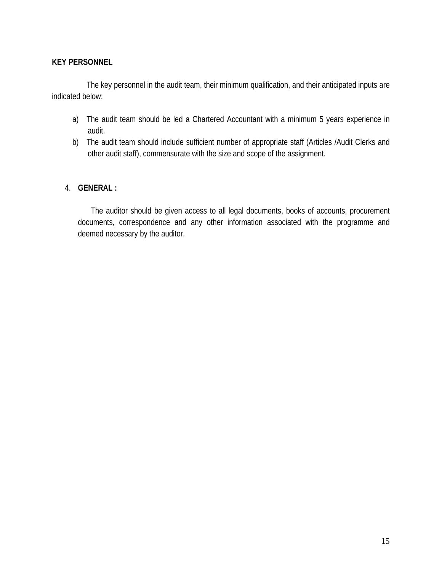#### **KEY PERSONNEL**

The key personnel in the audit team, their minimum qualification, and their anticipated inputs are indicated below:

- a) The audit team should be led a Chartered Accountant with a minimum 5 years experience in audit.
- b) The audit team should include sufficient number of appropriate staff (Articles /Audit Clerks and other audit staff), commensurate with the size and scope of the assignment.

#### 4. **GENERAL :**

The auditor should be given access to all legal documents, books of accounts, procurement documents, correspondence and any other information associated with the programme and deemed necessary by the auditor.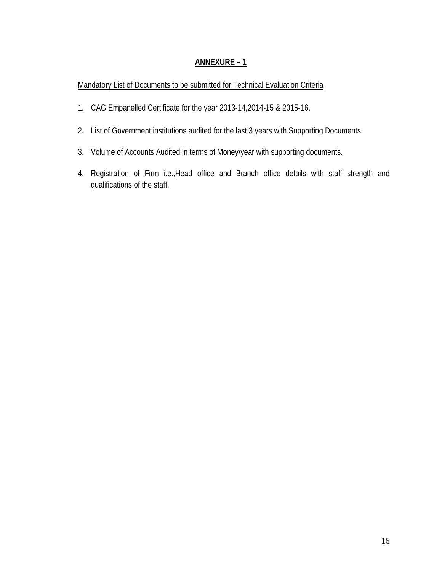### **ANNEXURE – 1**

#### Mandatory List of Documents to be submitted for Technical Evaluation Criteria

- 1. CAG Empanelled Certificate for the year 2013-14,2014-15 & 2015-16.
- 2. List of Government institutions audited for the last 3 years with Supporting Documents.
- 3. Volume of Accounts Audited in terms of Money/year with supporting documents.
- 4. Registration of Firm i.e.,Head office and Branch office details with staff strength and qualifications of the staff.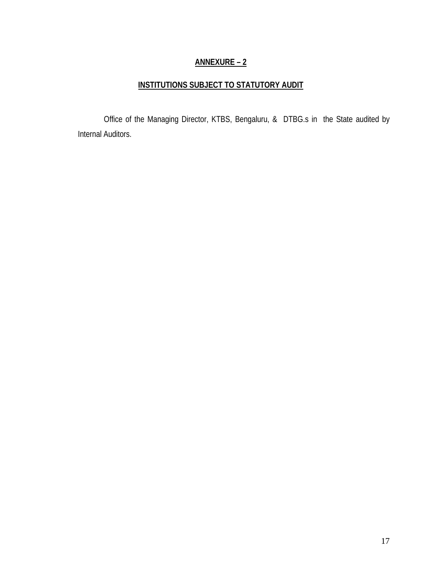## **ANNEXURE – 2**

## **INSTITUTIONS SUBJECT TO STATUTORY AUDIT**

Office of the Managing Director, KTBS, Bengaluru, & DTBG.s in the State audited by Internal Auditors.